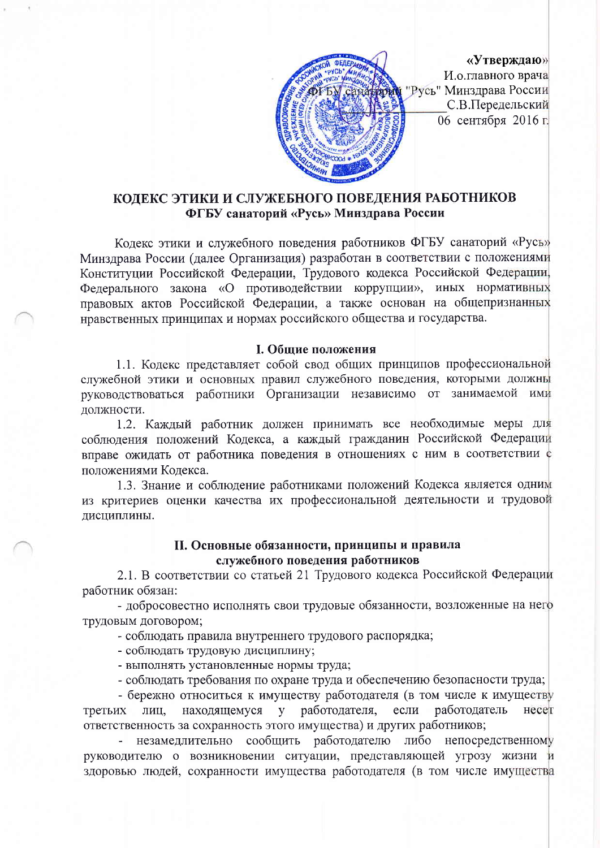

«Утверждаю» И.о.главного врача "Русь" Минздрава России С.В.Передельский 06 сентября 2016 г.

## КОЛЕКС ЭТИКИ И СЛУЖЕБНОГО ПОВЕДЕНИЯ РАБОТНИКОВ ФГБУ санаторий «Русь» Минздрава России

Кодекс этики и служебного поведения работников ФГБУ санаторий «Русь» Минздрава России (далее Организация) разработан в соответствии с положениями Конституции Российской Федерации, Трудового кодекса Российской Федерации, Федерального закона «О противодействии коррупции», иных нормативных правовых актов Российской Федерации, а также основан на общепризнанных нравственных принципах и нормах российского общества и государства.

## I. Общие положения

1.1. Кодекс представляет собой свод общих принципов профессиональной служебной этики и основных правил служебного поведения, которыми должны руководствоваться работники Организации независимо от занимаемой ими должности.

1.2. Каждый работник должен принимать все необходимые меры для соблюдения положений Кодекса, а каждый гражданин Российской Федерации вправе ожидать от работника поведения в отношениях с ним в соответствии с положениями Кодекса.

1.3. Знание и соблюдение работниками положений Кодекса является одним из критериев оценки качества их профессиональной деятельности и трудовой лисниплины.

## II. Основные обязанности, принципы и правила служебного поведения работников

2.1. В соответствии со статьей 21 Трудового кодекса Российской Федерации работник обязан:

- добросовестно исполнять свои трудовые обязанности, возложенные на него трудовым договором;

- соблюдать правила внутреннего трудового распорядка;

- соблюдать трудовую дисциплину;

- выполнять установленные нормы труда;

- соблюдать требования по охране труда и обеспечению безопасности труда;

- бережно относиться к имуществу работодателя (в том числе к имуществу третьих лиц, находящемуся у работодателя, если работодатель несет ответственность за сохранность этого имущества) и других работников;

незамедлительно сообщить работодателю либо непосредственному руководителю о возникновении ситуации, представляющей угрозу жизни и здоровью людей, сохранности имущества работодателя (в том числе имущества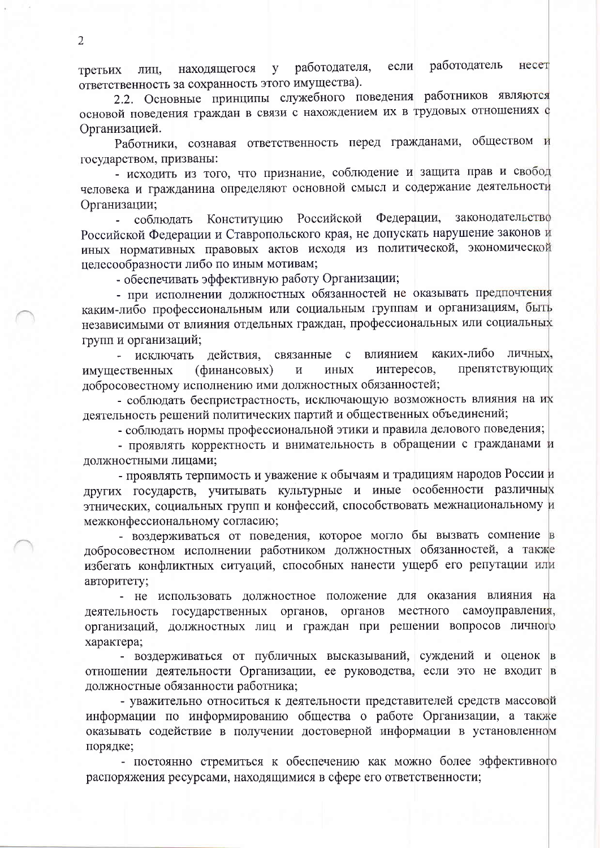работодатель если несет находящегося работодателя, y третьих лиц, ответственность за сохранность этого имущества).

2.2. Основные принципы служебного поведения работников являются основой поведения граждан в связи с нахождением их в трудовых отношениях с Организацией.

Работники, сознавая ответственность перед гражданами, обществом и государством, призваны:

- исходить из того, что признание, соблюдение и защита прав и свобод человека и гражданина определяют основной смысл и содержание деятельности Организации;

Конституцию Российской Федерации, законодательство соблюдать Российской Федерации и Ставропольского края, не допускать нарушение законов и иных нормативных правовых актов исходя из политической, экономической целесообразности либо по иным мотивам;

- обеспечивать эффективную работу Организации;

- при исполнении должностных обязанностей не оказывать предпочтения каким-либо профессиональным или социальным группам и организациям, быть независимыми от влияния отдельных граждан, профессиональных или социальных групп и организаций;

действия, связанные с влиянием каких-либо личных, - исключать препятствующих имущественных (финансовых)  $\overline{M}$ иных интересов, добросовестному исполнению ими должностных обязанностей;

- соблюдать беспристрастность, исключающую возможность влияния на их деятельность решений политических партий и общественных объединений;

- соблюдать нормы профессиональной этики и правила делового поведения;

- проявлять корректность и внимательность в обращении с гражданами и должностными лицами;

- проявлять терпимость и уважение к обычаям и традициям народов России и других государств, учитывать культурные и иные особенности различных этнических, социальных групп и конфессий, способствовать межнациональному и межконфессиональному согласию;

- воздерживаться от поведения, которое могло бы вызвать сомнение в добросовестном исполнении работником должностных обязанностей, а также избегать конфликтных ситуаций, способных нанести ущерб его репутации или авторитету;

- не использовать должностное положение для оказания влияния на деятельность государственных органов, органов местного самоуправления, организаций, должностных лиц и граждан при решении вопросов личного характера;

- воздерживаться от публичных высказываний, суждений и оценок в отношении деятельности Организации, ее руководства, если это не входит в должностные обязанности работника;

- уважительно относиться к деятельности представителей средств массовой информации по информированию общества о работе Организации, а также оказывать содействие в получении достоверной информации в установленном порядке;

- постоянно стремиться к обеспечению как можно более эффективного распоряжения ресурсами, находящимися в сфере его ответственности;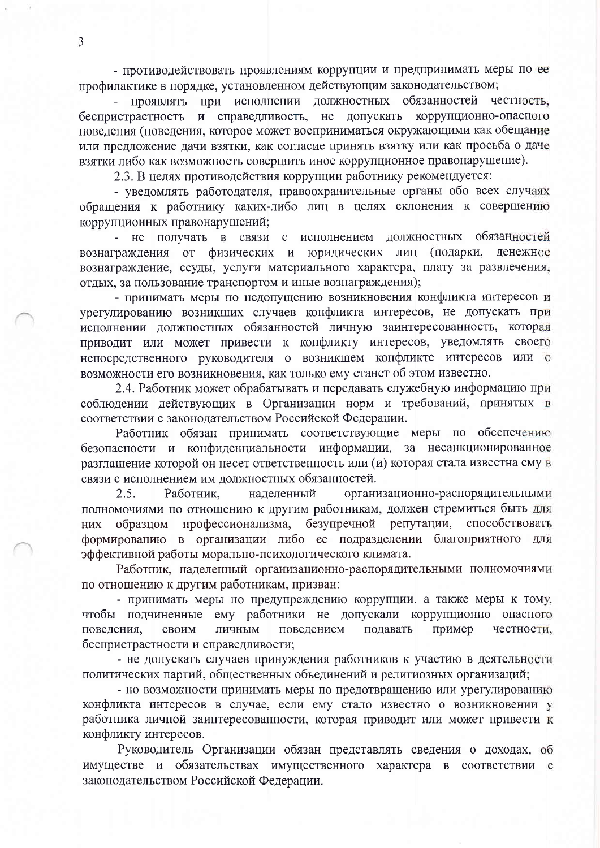- противодействовать проявлениям коррупции и предпринимать меры по ее профилактике в порядке, установленном действующим законодательством;

проявлять при исполнении должностных обязанностей честность, и справедливость, не допускать коррупционно-опасного беспристрастность поведения (поведения, которое может восприниматься окружающими как обещание или предложение дачи взятки, как согласие принять взятку или как просьба о даче взятки либо как возможность совершить иное коррупционное правонарушение).

2.3. В целях противодействия коррупции работнику рекомендуется:

- уведомлять работодателя, правоохранительные органы обо всех случаях обращения к работнику каких-либо лиц в целях склонения к совершению коррупционных правонарушений;

- не получать в связи с исполнением должностных обязанностей вознаграждения от физических и юридических лиц (подарки, денежное вознаграждение, ссуды, услуги материального характера, плату за развлечения, отлых, за пользование транспортом и иные вознаграждения);

- принимать меры по недопущению возникновения конфликта интересов и урегулированию возникших случаев конфликта интересов, не допускать при исполнении должностных обязанностей личную заинтересованность, которая приводит или может привести к конфликту интересов, уведомлять своего непосредственного руководителя о возникшем конфликте интересов или о возможности его возникновения, как только ему станет об этом известно.

2.4. Работник может обрабатывать и передавать служебную информацию при соблюдении действующих в Организации норм и требований, принятых в соответствии с законодательством Российской Федерации.

Работник обязан принимать соответствующие меры по обеспечению безопасности и конфиденциальности информации, за несанкционированное разглашение которой он несет ответственность или (и) которая стала известна ему в связи с исполнением им должностных обязанностей.

организационно-распорядительными  $2.5.$ Работник. наделенный полномочиями по отношению к другим работникам, должен стремиться быть для безупречной репутации, способствовать профессионализма, образцом НИХ формированию в организации либо ее подразделении благоприятного для эффективной работы морально-психологического климата.

Работник, наделенный организационно-распорядительными полномочиями по отношению к другим работникам, призван:

- принимать меры по предупреждению коррупции, а также меры к тому, чтобы подчиненные ему работники не допускали коррупционно опасного поведения, поведением подавать пример честности, своим личным беспристрастности и справедливости;

- не допускать случаев принуждения работников к участию в деятельности политических партий, общественных объединений и религиозных организаций;

- по возможности принимать меры по предотвращению или урегулированию конфликта интересов в случае, если ему стало известно о возникновении у работника личной заинтересованности, которая приводит или может привести к конфликту интересов.

Руководитель Организации обязан представлять сведения о доходах, об имуществе и обязательствах имущественного характера в соответствии с законодательством Российской Федерации.